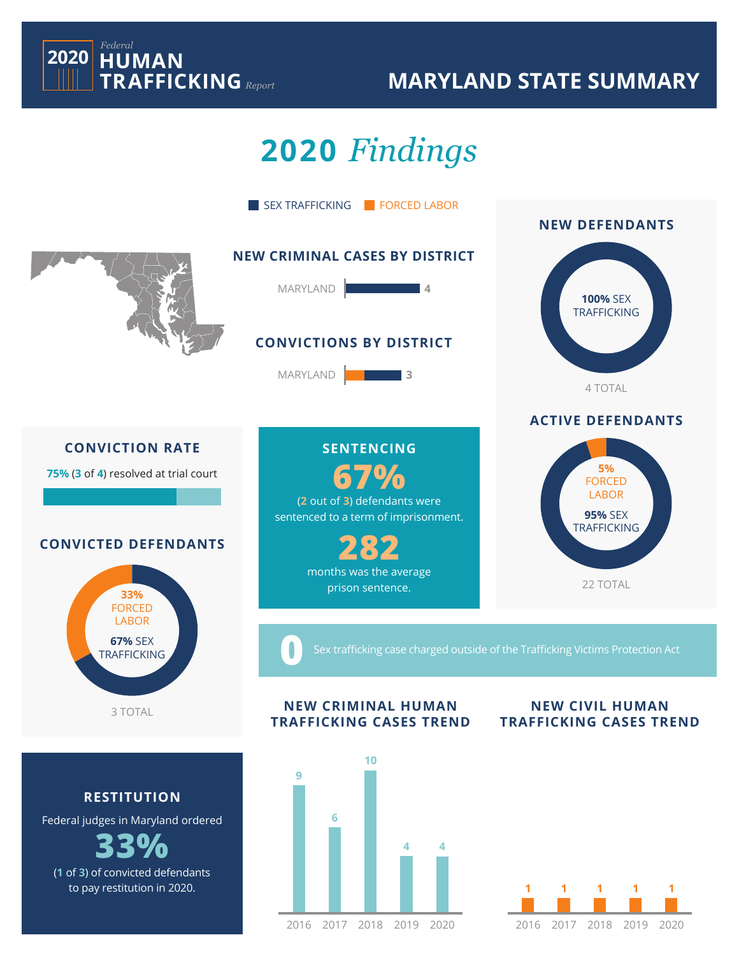

### **MARYLAND STATE SUMMARY**

# **2020** *Findings*



(**1** of **3**) of convicted defendants to pay restitution in 2020.

#### 2017 2018 2019 2020 2016